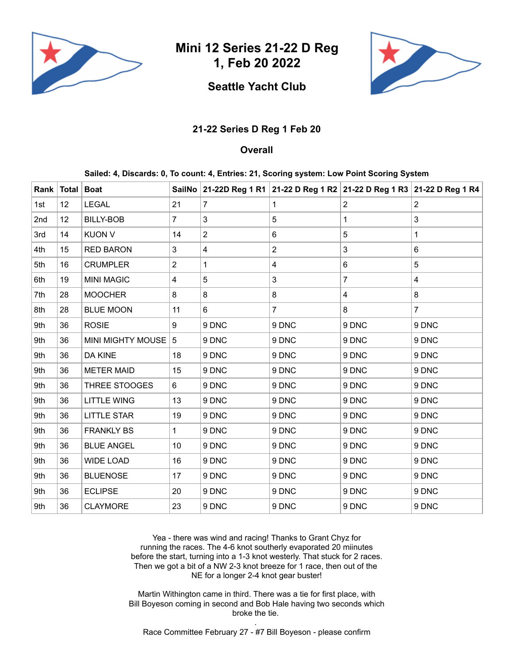

**Mini 12 Series 21-22 D Reg 1, Feb 20 2022**

## **Seattle Yacht Club**



## **21-22 Series D Reg 1 Feb 20**

## **Overall**

**Sailed: 4, Discards: 0, To count: 4, Entries: 21, Scoring system: Low Point Scoring System**

|     | Rank   Total | <b>Boat</b>          |                |                |                |                | SailNo 21-22D Reg 1 R1 21-22 D Reg 1 R2 21-22 D Reg 1 R3 21-22 D Reg 1 R4 |
|-----|--------------|----------------------|----------------|----------------|----------------|----------------|---------------------------------------------------------------------------|
| 1st | 12           | <b>LEGAL</b>         | 21             | $\overline{7}$ | 1              | $\overline{2}$ | $\overline{2}$                                                            |
| 2nd | 12           | <b>BILLY-BOB</b>     | $\overline{7}$ | 3              | 5              | 1              | 3                                                                         |
| 3rd | 14           | <b>KUON V</b>        | 14             | $\overline{2}$ | 6              | 5              | 1                                                                         |
| 4th | 15           | <b>RED BARON</b>     | 3              | 4              | $\overline{2}$ | 3              | 6                                                                         |
| 5th | 16           | <b>CRUMPLER</b>      | $\overline{2}$ | $\mathbf{1}$   | 4              | 6              | 5                                                                         |
| 6th | 19           | <b>MINI MAGIC</b>    | 4              | 5              | 3              | $\overline{7}$ | 4                                                                         |
| 7th | 28           | <b>MOOCHER</b>       | 8              | 8              | 8              | 4              | 8                                                                         |
| 8th | 28           | <b>BLUE MOON</b>     | 11             | 6              | $\overline{7}$ | 8              | $\overline{7}$                                                            |
| 9th | 36           | <b>ROSIE</b>         | 9              | 9 DNC          | 9 DNC          | 9 DNC          | 9 DNC                                                                     |
| 9th | 36           | MINI MIGHTY MOUSE    | 5              | 9 DNC          | 9 DNC          | 9 DNC          | 9 DNC                                                                     |
| 9th | 36           | DA KINE              | 18             | 9 DNC          | 9 DNC          | 9 DNC          | 9 DNC                                                                     |
| 9th | 36           | <b>METER MAID</b>    | 15             | 9 DNC          | 9 DNC          | 9 DNC          | 9 DNC                                                                     |
| 9th | 36           | <b>THREE STOOGES</b> | 6              | 9 DNC          | 9 DNC          | 9 DNC          | 9 DNC                                                                     |
| 9th | 36           | <b>LITTLE WING</b>   | 13             | 9 DNC          | 9 DNC          | 9 DNC          | 9 DNC                                                                     |
| 9th | 36           | <b>LITTLE STAR</b>   | 19             | 9 DNC          | 9 DNC          | 9 DNC          | 9 DNC                                                                     |
| 9th | 36           | <b>FRANKLY BS</b>    | $\mathbf{1}$   | 9 DNC          | 9 DNC          | 9 DNC          | 9 DNC                                                                     |
| 9th | 36           | <b>BLUE ANGEL</b>    | 10             | 9 DNC          | 9 DNC          | 9 DNC          | 9 DNC                                                                     |
| 9th | 36           | <b>WIDE LOAD</b>     | 16             | 9 DNC          | 9 DNC          | 9 DNC          | 9 DNC                                                                     |
| 9th | 36           | <b>BLUENOSE</b>      | 17             | 9 DNC          | 9 DNC          | 9 DNC          | 9 DNC                                                                     |
| 9th | 36           | <b>ECLIPSE</b>       | 20             | 9 DNC          | 9 DNC          | 9 DNC          | 9 DNC                                                                     |
| 9th | 36           | <b>CLAYMORE</b>      | 23             | 9 DNC          | 9 DNC          | 9 DNC          | 9 DNC                                                                     |

Yea - there was wind and racing! Thanks to Grant Chyz for running the races. The 4-6 knot southerly evaporated 20 miinutes before the start, turning into a 1-3 knot westerly. That stuck for 2 races. Then we got a bit of a NW 2-3 knot breeze for 1 race, then out of the NE for a longer 2-4 knot gear buster!

Martin Withington came in third. There was a tie for first place, with Bill Boyeson coming in second and Bob Hale having two seconds which broke the tie.